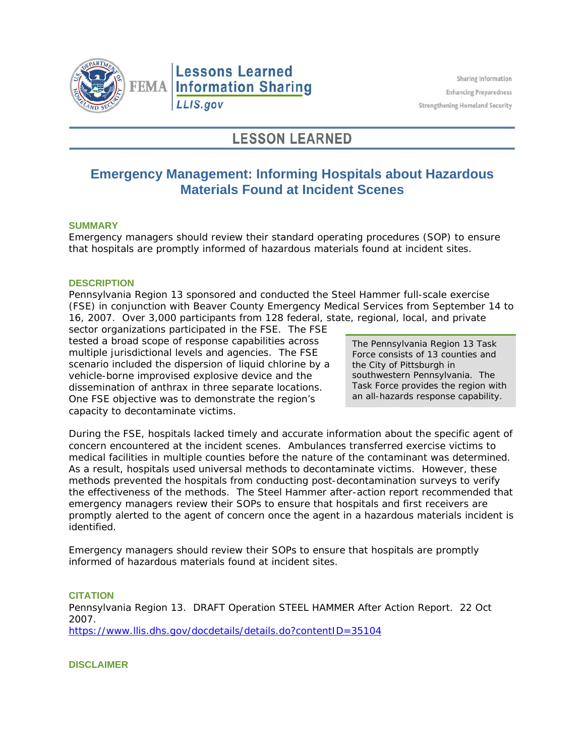

# **Lessons Learned FEMA Information Sharing** LLIS.gov

# **LESSON LEARNED**

## **Emergency Management: Informing Hospitals about Hazardous Materials Found at Incident Scenes**

### **SUMMARY**

Emergency managers should review their standard operating procedures (SOP) to ensure that hospitals are promptly informed of hazardous materials found at incident sites.

#### **DESCRIPTION**

Pennsylvania Region 13 sponsored and conducted the Steel Hammer full-scale exercise (FSE) in conjunction with Beaver County Emergency Medical Services from September 14 to 16, 2007. Over 3,000 participants from 128 federal, state, regional, local, and private

sector organizations participated in the FSE. The FSE tested a broad scope of response capabilities across multiple jurisdictional levels and agencies. The FSE scenario included the dispersion of liquid chlorine by a vehicle-borne improvised explosive device and the dissemination of anthrax in three separate locations. One FSE objective was to demonstrate the region's capacity to decontaminate victims.

The Pennsylvania Region 13 Task Force consists of 13 counties and the City of Pittsburgh in southwestern Pennsylvania. The Task Force provides the region with an all-hazards response capability.

During the FSE, hospitals lacked timely and accurate information about the specific agent of concern encountered at the incident scenes. Ambulances transferred exercise victims to medical facilities in multiple counties before the nature of the contaminant was determined. As a result, hospitals used universal methods to decontaminate victims. However, these methods prevented the hospitals from conducting post-decontamination surveys to verify the effectiveness of the methods. The Steel Hammer after-action report recommended that emergency managers review their SOPs to ensure that hospitals and first receivers are promptly alerted to the agent of concern once the agent in a hazardous materials incident is identified.

Emergency managers should review their SOPs to ensure that hospitals are promptly informed of hazardous materials found at incident sites.

**CITATION**  Pennsylvania Region 13. *DRAFT Operation STEEL HAMMER After Action Report.* 22 Oct 2007. <https://www.llis.dhs.gov/docdetails/details.do?contentID=35104>

**DISCLAIMER**